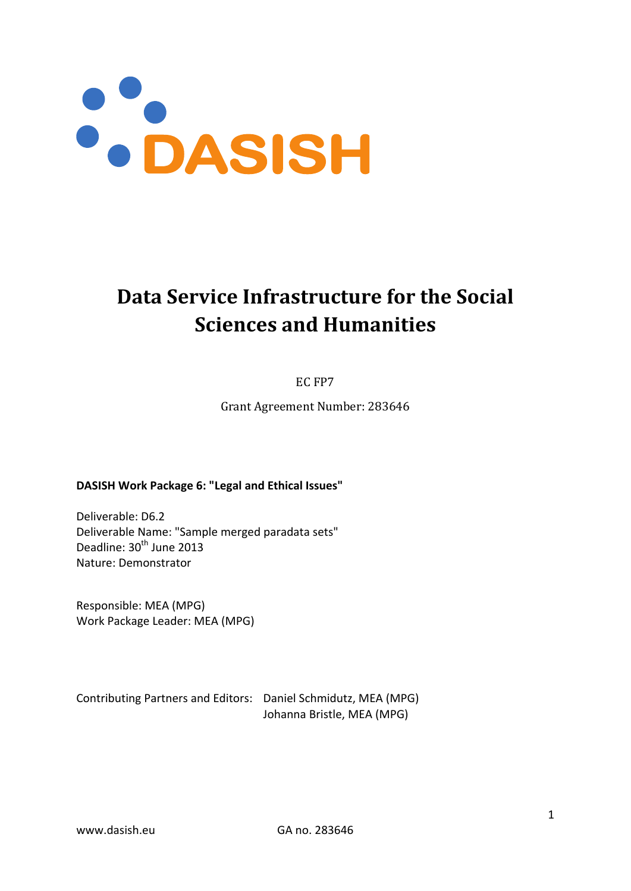

# **Data Service Infrastructure for the Social Sciences and Humanities**

EC FP7

Grant Agreement Number: 283646

#### **DASISH Work Package 6: "Legal and Ethical Issues"**

Deliverable: D6.2 Deliverable Name: "Sample merged paradata sets" Deadline: 30<sup>th</sup> June 2013 Nature: Demonstrator

Responsible: MEA (MPG) Work Package Leader: MEA (MPG)

Contributing Partners and Editors: Daniel Schmidutz, MEA (MPG) Johanna Bristle, MEA (MPG)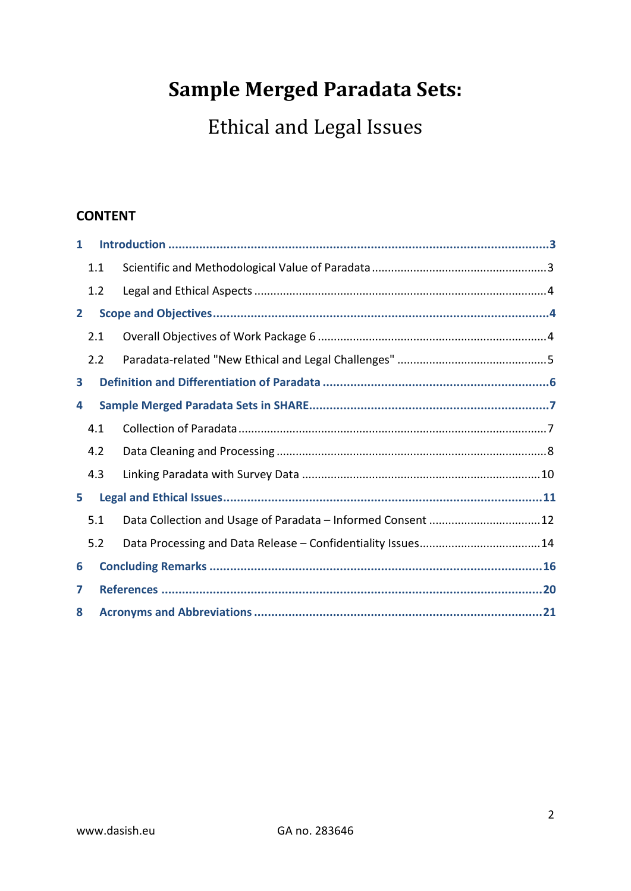# **Sample Merged Paradata Sets:**

Ethical and Legal Issues

### **CONTENT**

| 1            |     |  |                                                             |  |  |  |
|--------------|-----|--|-------------------------------------------------------------|--|--|--|
|              | 1.1 |  |                                                             |  |  |  |
|              | 1.2 |  |                                                             |  |  |  |
| $\mathbf{2}$ |     |  |                                                             |  |  |  |
|              | 2.1 |  |                                                             |  |  |  |
|              | 2.2 |  |                                                             |  |  |  |
| 3            |     |  |                                                             |  |  |  |
| 4            |     |  |                                                             |  |  |  |
|              | 4.1 |  |                                                             |  |  |  |
|              | 4.2 |  |                                                             |  |  |  |
|              | 4.3 |  |                                                             |  |  |  |
| 5.           |     |  |                                                             |  |  |  |
|              | 5.1 |  | Data Collection and Usage of Paradata - Informed Consent 12 |  |  |  |
|              | 5.2 |  |                                                             |  |  |  |
| 6            |     |  |                                                             |  |  |  |
| 7            |     |  |                                                             |  |  |  |
| 8            |     |  |                                                             |  |  |  |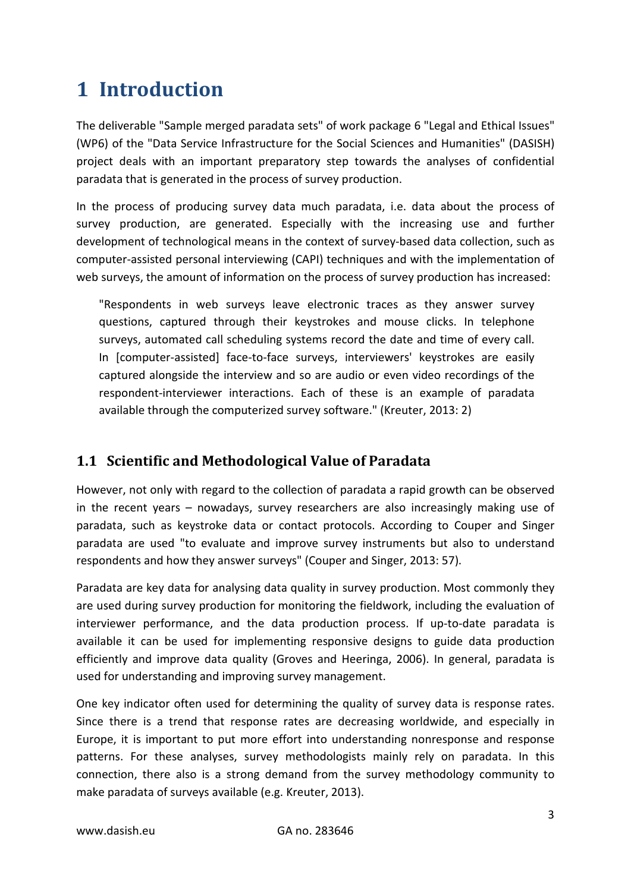# <span id="page-2-0"></span>**1 Introduction**

The deliverable "Sample merged paradata sets" of work package 6 "Legal and Ethical Issues" (WP6) of the "Data Service Infrastructure for the Social Sciences and Humanities" (DASISH) project deals with an important preparatory step towards the analyses of confidential paradata that is generated in the process of survey production.

In the process of producing survey data much paradata, i.e. data about the process of survey production, are generated. Especially with the increasing use and further development of technological means in the context of survey-based data collection, such as computer-assisted personal interviewing (CAPI) techniques and with the implementation of web surveys, the amount of information on the process of survey production has increased:

"Respondents in web surveys leave electronic traces as they answer survey questions, captured through their keystrokes and mouse clicks. In telephone surveys, automated call scheduling systems record the date and time of every call. In [computer-assisted] face-to-face surveys, interviewers' keystrokes are easily captured alongside the interview and so are audio or even video recordings of the respondent-interviewer interactions. Each of these is an example of paradata available through the computerized survey software." (Kreuter, 2013: 2)

## <span id="page-2-1"></span>**1.1 Scientific and Methodological Value of Paradata**

However, not only with regard to the collection of paradata a rapid growth can be observed in the recent years – nowadays, survey researchers are also increasingly making use of paradata, such as keystroke data or contact protocols. According to Couper and Singer paradata are used "to evaluate and improve survey instruments but also to understand respondents and how they answer surveys" (Couper and Singer, 2013: 57).

Paradata are key data for analysing data quality in survey production. Most commonly they are used during survey production for monitoring the fieldwork, including the evaluation of interviewer performance, and the data production process. If up-to-date paradata is available it can be used for implementing responsive designs to guide data production efficiently and improve data quality [\(Groves and Heeringa,](#page-19-1) 2006). In general, paradata is used for understanding and improving survey management.

One key indicator often used for determining the quality of survey data is response rates. Since there is a trend that response rates are decreasing worldwide, and especially in Europe, it is important to put more effort into understanding nonresponse and response patterns. For these analyses, survey methodologists mainly rely on paradata. In this connection, there also is a strong demand from the survey methodology community to make paradata of surveys available [\(e.g. Kreuter,](#page-19-2) 2013).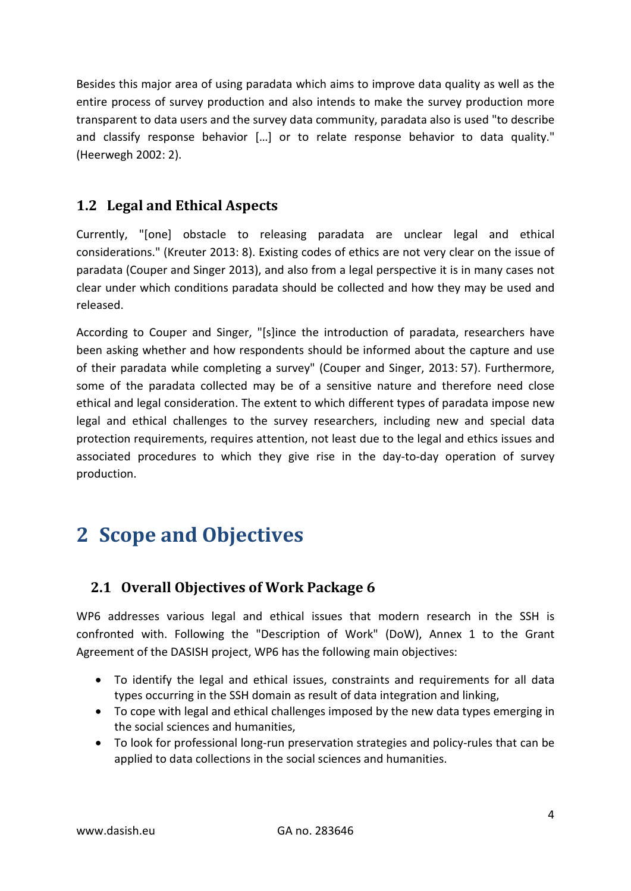Besides this major area of using paradata which aims to improve data quality as well as the entire process of survey production and also intends to make the survey production more transparent to data users and the survey data community, paradata also is used "to describe and classify response behavior […] or to relate response behavior to data quality." (Heerwegh 2002: 2).

## <span id="page-3-0"></span>**1.2 Legal and Ethical Aspects**

Currently, "[one] obstacle to releasing paradata are unclear legal and ethical considerations." (Kreuter 2013: 8). Existing codes of ethics are not very clear on the issue of paradata (Couper and Singer 2013), and also from a legal perspective it is in many cases not clear under which conditions paradata should be collected and how they may be used and released.

According to Couper and Singer, "[s]ince the introduction of paradata, researchers have been asking whether and how respondents should be informed about the capture and use of their paradata while completing a survey" (Couper and Singer, 2013: 57). Furthermore, some of the paradata collected may be of a sensitive nature and therefore need close ethical and legal consideration. The extent to which different types of paradata impose new legal and ethical challenges to the survey researchers, including new and special data protection requirements, requires attention, not least due to the legal and ethics issues and associated procedures to which they give rise in the day-to-day operation of survey production.

# <span id="page-3-1"></span>**2 Scope and Objectives**

## <span id="page-3-2"></span>**2.1 Overall Objectives of Work Package 6**

WP6 addresses various legal and ethical issues that modern research in the SSH is confronted with. Following the "Description of Work" (DoW), Annex 1 to the Grant Agreement of the DASISH project, WP6 has the following main objectives:

- To identify the legal and ethical issues, constraints and requirements for all data types occurring in the SSH domain as result of data integration and linking,
- To cope with legal and ethical challenges imposed by the new data types emerging in the social sciences and humanities,
- To look for professional long-run preservation strategies and policy-rules that can be applied to data collections in the social sciences and humanities.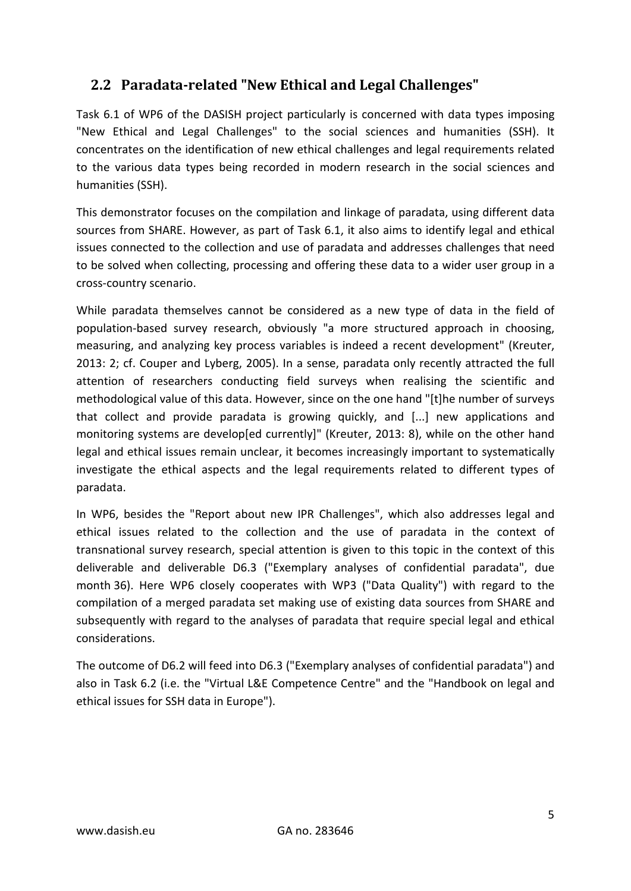## <span id="page-4-0"></span>**2.2 Paradata-related "New Ethical and Legal Challenges"**

Task 6.1 of WP6 of the DASISH project particularly is concerned with data types imposing "New Ethical and Legal Challenges" to the social sciences and humanities (SSH). It concentrates on the identification of new ethical challenges and legal requirements related to the various data types being recorded in modern research in the social sciences and humanities (SSH).

This demonstrator focuses on the compilation and linkage of paradata, using different data sources from SHARE. However, as part of Task 6.1, it also aims to identify legal and ethical issues connected to the collection and use of paradata and addresses challenges that need to be solved when collecting, processing and offering these data to a wider user group in a cross-country scenario.

While paradata themselves cannot be considered as a new type of data in the field of population-based survey research, obviously "a more structured approach in choosing, measuring, and analyzing key process variables is indeed a recent development" (Kreuter, 2013: 2; cf. Couper and Lyberg, 2005). In a sense, paradata only recently attracted the full attention of researchers conducting field surveys when realising the scientific and methodological value of this data. However, since on the one hand "[t]he number of surveys that collect and provide paradata is growing quickly, and [...] new applications and monitoring systems are develop[ed currently]" (Kreuter, 2013: 8), while on the other hand legal and ethical issues remain unclear, it becomes increasingly important to systematically investigate the ethical aspects and the legal requirements related to different types of paradata.

In WP6, besides the "Report about new IPR Challenges", which also addresses legal and ethical issues related to the collection and the use of paradata in the context of transnational survey research, special attention is given to this topic in the context of this deliverable and deliverable D6.3 ("Exemplary analyses of confidential paradata", due month 36). Here WP6 closely cooperates with WP3 ("Data Quality") with regard to the compilation of a merged paradata set making use of existing data sources from SHARE and subsequently with regard to the analyses of paradata that require special legal and ethical considerations.

The outcome of D6.2 will feed into D6.3 ("Exemplary analyses of confidential paradata") and also in Task 6.2 (i.e. the "Virtual L&E Competence Centre" and the "Handbook on legal and ethical issues for SSH data in Europe").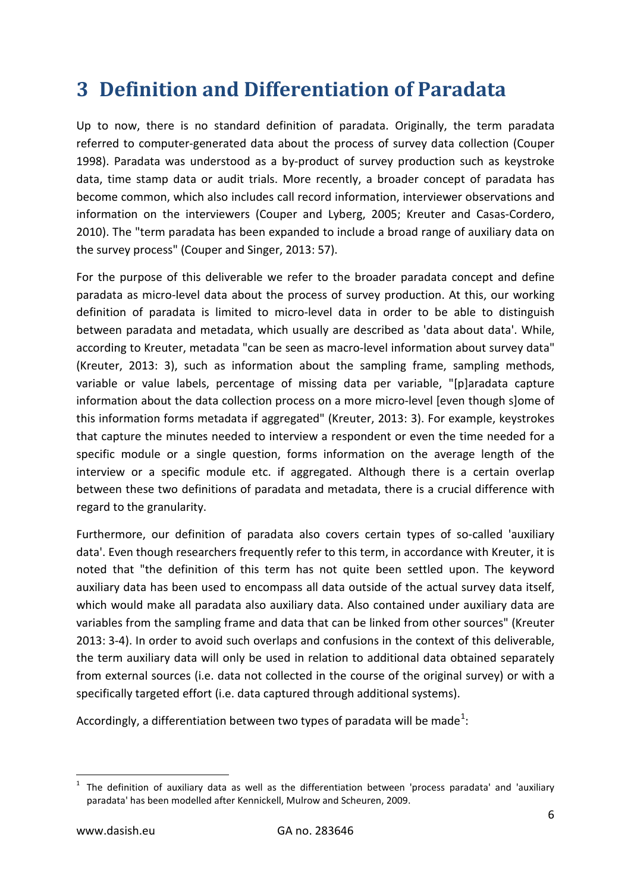# <span id="page-5-0"></span>**3 Definition and Differentiation of Paradata**

Up to now, there is no standard definition of paradata. Originally, the term paradata referred to computer-generated data about the process of survey data collection (Couper 1998). Paradata was understood as a by-product of survey production such as keystroke data, time stamp data or audit trials. More recently, a broader concept of paradata has become common, which also includes call record information, interviewer observations and information on the interviewers [\(Couper and Lyberg,](#page-19-3) 2005; [Kreuter and Casas-Cordero,](#page-19-4) [2010\)](#page-19-4). The "term paradata has been expanded to include a broad range of auxiliary data on the survey process" (Couper and Singer, 2013: 57).

For the purpose of this deliverable we refer to the broader paradata concept and define paradata as micro-level data about the process of survey production. At this, our working definition of paradata is limited to micro-level data in order to be able to distinguish between paradata and metadata, which usually are described as 'data about data'. While, according to Kreuter, metadata "can be seen as macro-level information about survey data" (Kreuter, 2013: 3), such as information about the sampling frame, sampling methods, variable or value labels, percentage of missing data per variable, "[p]aradata capture information about the data collection process on a more micro-level [even though s]ome of this information forms metadata if aggregated" (Kreuter, 2013: 3). For example, keystrokes that capture the minutes needed to interview a respondent or even the time needed for a specific module or a single question, forms information on the average length of the interview or a specific module etc. if aggregated. Although there is a certain overlap between these two definitions of paradata and metadata, there is a crucial difference with regard to the granularity.

Furthermore, our definition of paradata also covers certain types of so-called 'auxiliary data'. Even though researchers frequently refer to this term, in accordance with Kreuter, it is noted that "the definition of this term has not quite been settled upon. The keyword auxiliary data has been used to encompass all data outside of the actual survey data itself, which would make all paradata also auxiliary data. Also contained under auxiliary data are variables from the sampling frame and data that can be linked from other sources" (Kreuter 2013: 3-4). In order to avoid such overlaps and confusions in the context of this deliverable, the term auxiliary data will only be used in relation to additional data obtained separately from external sources (i.e. data not collected in the course of the original survey) or with a specifically targeted effort (i.e. data captured through additional systems).

Accordingly, a differentiation between two types of paradata will be made<sup>[1](#page-5-1)</sup>:

<span id="page-5-1"></span> <sup>1</sup> The definition of auxiliary data as well as the differentiation between 'process paradata' and 'auxiliary paradata' has been modelled after Kennickell, Mulrow and Scheuren, 2009.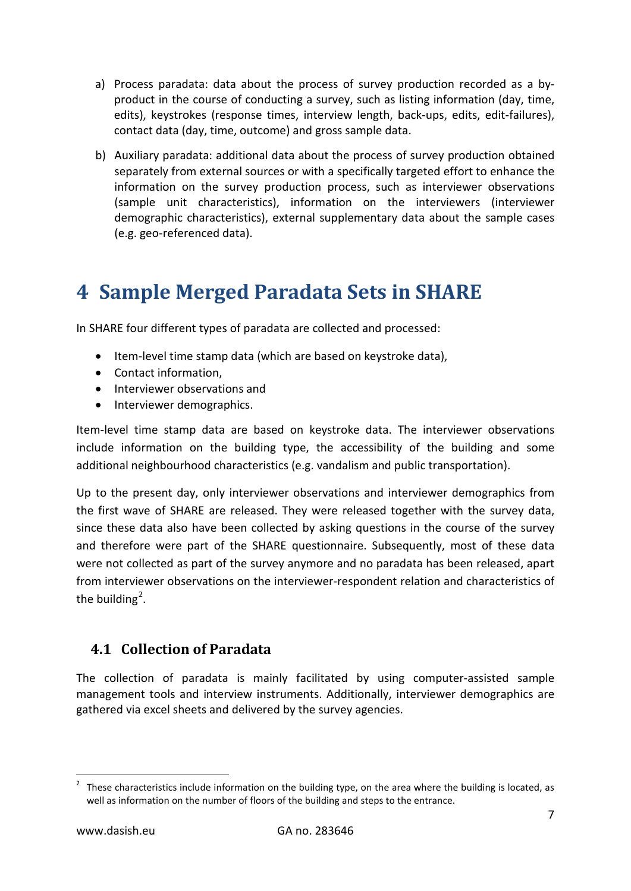- a) Process paradata: data about the process of survey production recorded as a byproduct in the course of conducting a survey, such as listing information (day, time, edits), keystrokes (response times, interview length, back-ups, edits, edit-failures), contact data (day, time, outcome) and gross sample data.
- b) Auxiliary paradata: additional data about the process of survey production obtained separately from external sources or with a specifically targeted effort to enhance the information on the survey production process, such as interviewer observations (sample unit characteristics), information on the interviewers (interviewer demographic characteristics), external supplementary data about the sample cases (e.g. geo-referenced data).

# <span id="page-6-0"></span>**4 Sample Merged Paradata Sets in SHARE**

In SHARE four different types of paradata are collected and processed:

- Item-level time stamp data (which are based on keystroke data),
- Contact information,
- Interviewer observations and
- Interviewer demographics.

Item-level time stamp data are based on keystroke data. The interviewer observations include information on the building type, the accessibility of the building and some additional neighbourhood characteristics (e.g. vandalism and public transportation).

Up to the present day, only interviewer observations and interviewer demographics from the first wave of SHARE are released. They were released together with the survey data, since these data also have been collected by asking questions in the course of the survey and therefore were part of the SHARE questionnaire. Subsequently, most of these data were not collected as part of the survey anymore and no paradata has been released, apart from interviewer observations on the interviewer-respondent relation and characteristics of the building<sup>[2](#page-6-2)</sup>.

### <span id="page-6-1"></span>**4.1 Collection of Paradata**

The collection of paradata is mainly facilitated by using computer-assisted sample management tools and interview instruments. Additionally, interviewer demographics are gathered via excel sheets and delivered by the survey agencies.

<span id="page-6-2"></span> $2$  These characteristics include information on the building type, on the area where the building is located, as well as information on the number of floors of the building and steps to the entrance.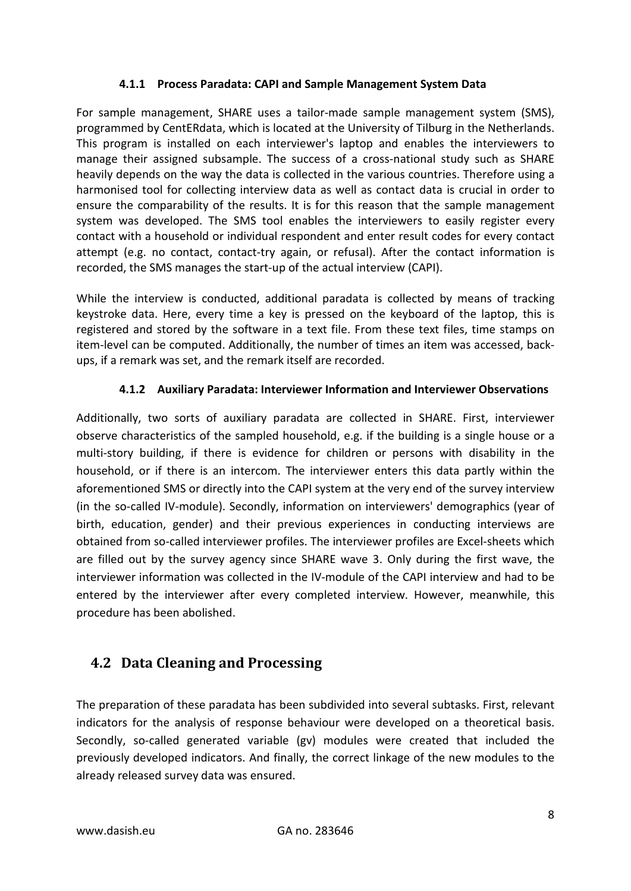#### **4.1.1 Process Paradata: CAPI and Sample Management System Data**

For sample management, SHARE uses a tailor-made sample management system (SMS), programmed by CentERdata, which is located at the University of Tilburg in the Netherlands. This program is installed on each interviewer's laptop and enables the interviewers to manage their assigned subsample. The success of a cross-national study such as SHARE heavily depends on the way the data is collected in the various countries. Therefore using a harmonised tool for collecting interview data as well as contact data is crucial in order to ensure the comparability of the results. It is for this reason that the sample management system was developed. The SMS tool enables the interviewers to easily register every contact with a household or individual respondent and enter result codes for every contact attempt (e.g. no contact, contact-try again, or refusal). After the contact information is recorded, the SMS manages the start-up of the actual interview (CAPI).

While the interview is conducted, additional paradata is collected by means of tracking keystroke data. Here, every time a key is pressed on the keyboard of the laptop, this is registered and stored by the software in a text file. From these text files, time stamps on item-level can be computed. Additionally, the number of times an item was accessed, backups, if a remark was set, and the remark itself are recorded.

#### **4.1.2 Auxiliary Paradata: Interviewer Information and Interviewer Observations**

Additionally, two sorts of auxiliary paradata are collected in SHARE. First, interviewer observe characteristics of the sampled household, e.g. if the building is a single house or a multi-story building, if there is evidence for children or persons with disability in the household, or if there is an intercom. The interviewer enters this data partly within the aforementioned SMS or directly into the CAPI system at the very end of the survey interview (in the so-called IV-module). Secondly, information on interviewers' demographics (year of birth, education, gender) and their previous experiences in conducting interviews are obtained from so-called interviewer profiles. The interviewer profiles are Excel-sheets which are filled out by the survey agency since SHARE wave 3. Only during the first wave, the interviewer information was collected in the IV-module of the CAPI interview and had to be entered by the interviewer after every completed interview. However, meanwhile, this procedure has been abolished.

## <span id="page-7-0"></span>**4.2 Data Cleaning and Processing**

The preparation of these paradata has been subdivided into several subtasks. First, relevant indicators for the analysis of response behaviour were developed on a theoretical basis. Secondly, so-called generated variable (gv) modules were created that included the previously developed indicators. And finally, the correct linkage of the new modules to the already released survey data was ensured.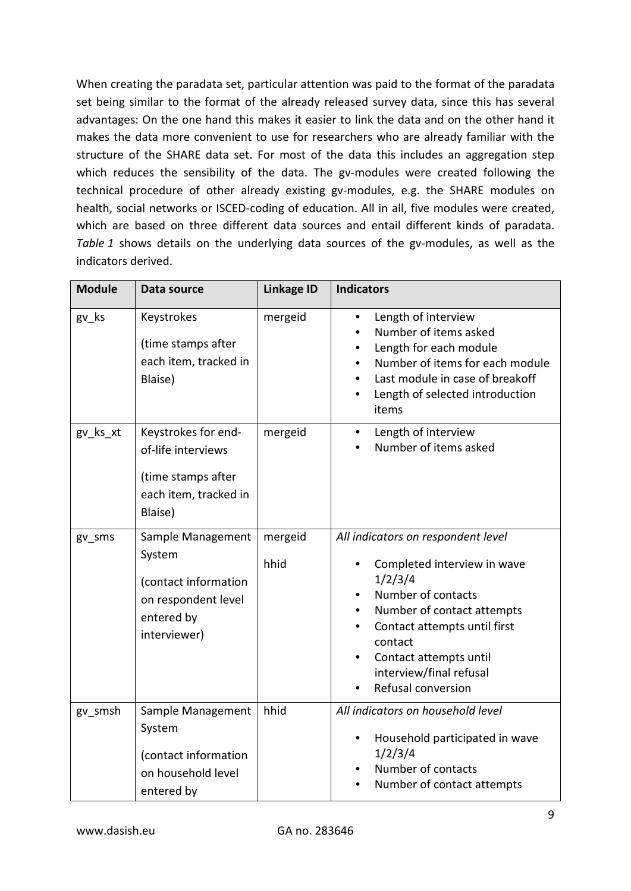When creating the paradata set, particular attention was paid to the format of the paradata set being similar to the format of the already released survey data, since this has several advantages: On the one hand this makes it easier to link the data and on the other hand it makes the data more convenient to use for researchers who are already familiar with the structure of the SHARE data set. For most of the data this includes an aggregation step which reduces the sensibility of the data. The gv-modules were created following the technical procedure of other already existing gv-modules, e.g. the SHARE modules on health, social networks or ISCED-coding of education. All in all, five modules were created, which are based on three different data sources and entail different kinds of paradata. *Table 1* shows details on the underlying data sources of the gv-modules, as well as the indicators derived.

| <b>Module</b> | Data source                                                                                              | <b>Linkage ID</b> | <b>Indicators</b>                                                                                                                                                                                                                                      |
|---------------|----------------------------------------------------------------------------------------------------------|-------------------|--------------------------------------------------------------------------------------------------------------------------------------------------------------------------------------------------------------------------------------------------------|
| gv_ks         | Keystrokes<br>(time stamps after<br>each item, tracked in<br>Blaise)                                     | mergeid           | Length of interview<br>Number of items asked<br>Length for each module<br>Number of items for each module<br>Last module in case of breakoff<br>Length of selected introduction<br>items                                                               |
| gv_ks_xt      | Keystrokes for end-<br>of-life interviews<br>(time stamps after<br>each item, tracked in<br>Blaise)      | mergeid           | Length of interview<br>Number of items asked                                                                                                                                                                                                           |
| gv_sms        | Sample Management<br>System<br>(contact information<br>on respondent level<br>entered by<br>interviewer) | mergeid<br>hhid   | All indicators on respondent level<br>Completed interview in wave<br>1/2/3/4<br>Number of contacts<br>Number of contact attempts<br>Contact attempts until first<br>contact<br>Contact attempts until<br>interview/final refusal<br>Refusal conversion |
| gv_smsh       | Sample Management<br>System<br>(contact information<br>on household level<br>entered by                  | hhid              | All indicators on household level<br>Household participated in wave<br>1/2/3/4<br>Number of contacts<br>Number of contact attempts                                                                                                                     |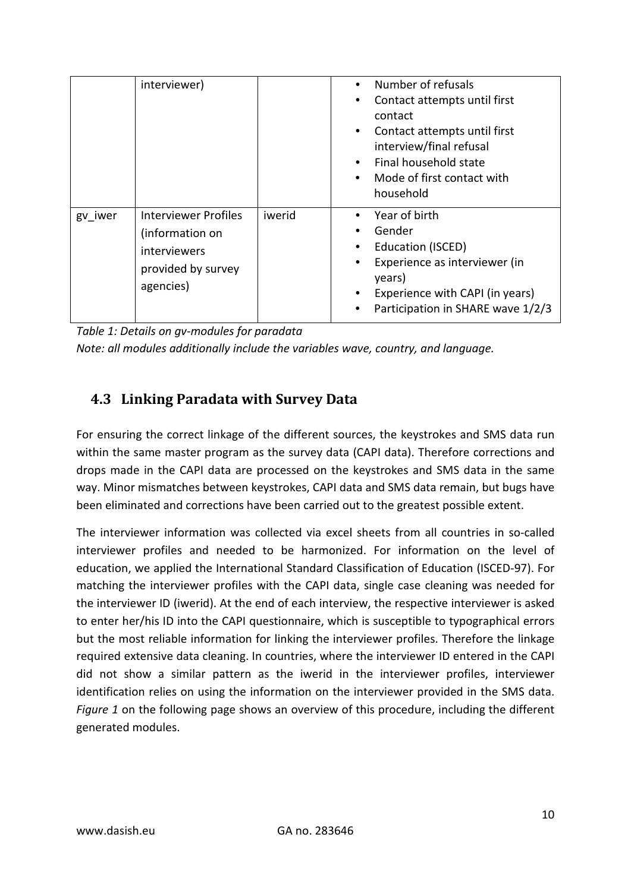|         | interviewer)                                                                                             |        | Number of refusals<br>$\bullet$<br>Contact attempts until first<br>contact<br>Contact attempts until first<br>$\bullet$<br>interview/final refusal<br>Final household state<br>$\bullet$<br>Mode of first contact with<br>$\bullet$<br>household |
|---------|----------------------------------------------------------------------------------------------------------|--------|--------------------------------------------------------------------------------------------------------------------------------------------------------------------------------------------------------------------------------------------------|
| gv iwer | <b>Interviewer Profiles</b><br>(information on<br><i>interviewers</i><br>provided by survey<br>agencies) | iwerid | Year of birth<br>Gender<br>Education (ISCED)<br>٠<br>Experience as interviewer (in<br>years)<br>Experience with CAPI (in years)<br>٠<br>Participation in SHARE wave 1/2/3                                                                        |

*Table 1: Details on gv-modules for paradata Note: all modules additionally include the variables wave, country, and language.*

## <span id="page-9-0"></span>**4.3 Linking Paradata with Survey Data**

For ensuring the correct linkage of the different sources, the keystrokes and SMS data run within the same master program as the survey data (CAPI data). Therefore corrections and drops made in the CAPI data are processed on the keystrokes and SMS data in the same way. Minor mismatches between keystrokes, CAPI data and SMS data remain, but bugs have been eliminated and corrections have been carried out to the greatest possible extent.

The interviewer information was collected via excel sheets from all countries in so-called interviewer profiles and needed to be harmonized. For information on the level of education, we applied the International Standard Classification of Education (ISCED-97). For matching the interviewer profiles with the CAPI data, single case cleaning was needed for the interviewer ID (iwerid). At the end of each interview, the respective interviewer is asked to enter her/his ID into the CAPI questionnaire, which is susceptible to typographical errors but the most reliable information for linking the interviewer profiles. Therefore the linkage required extensive data cleaning. In countries, where the interviewer ID entered in the CAPI did not show a similar pattern as the iwerid in the interviewer profiles, interviewer identification relies on using the information on the interviewer provided in the SMS data. *Figure 1* on the following page shows an overview of this procedure, including the different generated modules.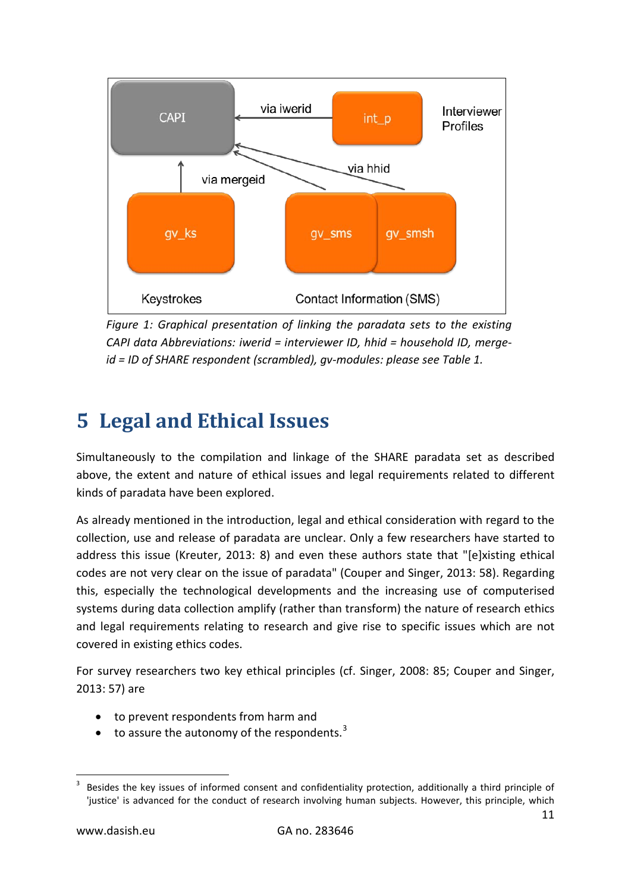

*Figure 1: Graphical presentation of linking the paradata sets to the existing CAPI data Abbreviations: iwerid = interviewer ID, hhid = household ID, mergeid = ID of SHARE respondent (scrambled), gv-modules: please see Table 1.*

# <span id="page-10-0"></span>**5 Legal and Ethical Issues**

Simultaneously to the compilation and linkage of the SHARE paradata set as described above, the extent and nature of ethical issues and legal requirements related to different kinds of paradata have been explored.

As already mentioned in the introduction, legal and ethical consideration with regard to the collection, use and release of paradata are unclear. Only a few researchers have started to address this issue (Kreuter, 2013: 8) and even these authors state that "[e]xisting ethical codes are not very clear on the issue of paradata" (Couper and Singer, 2013: 58). Regarding this, especially the technological developments and the increasing use of computerised systems during data collection amplify (rather than transform) the nature of research ethics and legal requirements relating to research and give rise to specific issues which are not covered in existing ethics codes.

For survey researchers two key ethical principles (cf. Singer, 2008: 85; Couper and Singer, 2013: 57) are

- to prevent respondents from harm and
- to assure the autonomy of the respondents. $3$

<span id="page-10-1"></span> <sup>3</sup> Besides the key issues of informed consent and confidentiality protection, additionally a third principle of 'justice' is advanced for the conduct of research involving human subjects. However, this principle, which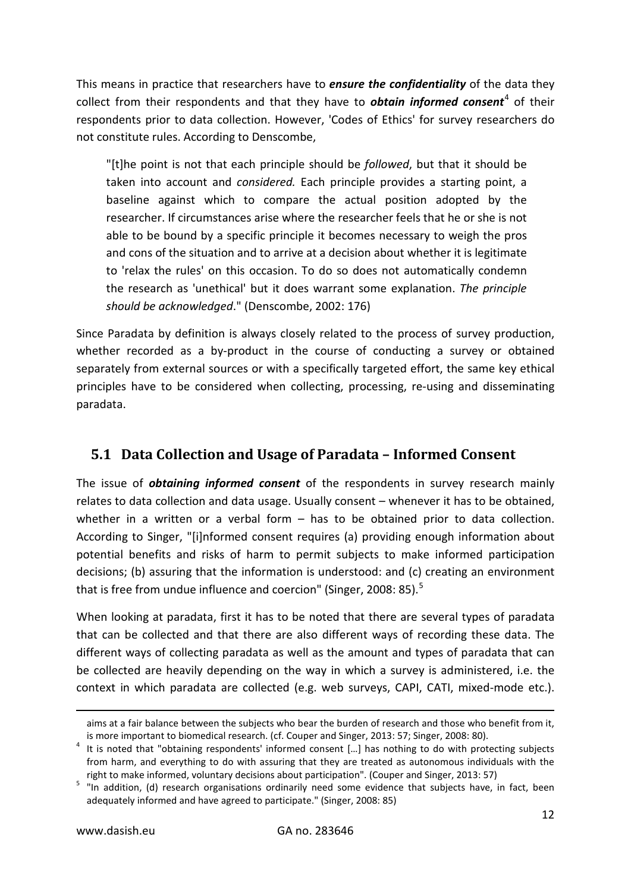This means in practice that researchers have to *ensure the confidentiality* of the data they collect from their respondents and that they have to *obtain informed consent*<sup>[4](#page-11-1)</sup> of their respondents prior to data collection. However, 'Codes of Ethics' for survey researchers do not constitute rules. According to Denscombe,

"[t]he point is not that each principle should be *followed*, but that it should be taken into account and *considered.* Each principle provides a starting point, a baseline against which to compare the actual position adopted by the researcher. If circumstances arise where the researcher feels that he or she is not able to be bound by a specific principle it becomes necessary to weigh the pros and cons of the situation and to arrive at a decision about whether it is legitimate to 'relax the rules' on this occasion. To do so does not automatically condemn the research as 'unethical' but it does warrant some explanation. *The principle should be acknowledged*." (Denscombe, 2002: 176)

Since Paradata by definition is always closely related to the process of survey production, whether recorded as a by-product in the course of conducting a survey or obtained separately from external sources or with a specifically targeted effort, the same key ethical principles have to be considered when collecting, processing, re-using and disseminating paradata.

## <span id="page-11-0"></span>**5.1 Data Collection and Usage of Paradata – Informed Consent**

The issue of *obtaining informed consent* of the respondents in survey research mainly relates to data collection and data usage. Usually consent – whenever it has to be obtained, whether in a written or a verbal form – has to be obtained prior to data collection. According to Singer, "[i]nformed consent requires (a) providing enough information about potential benefits and risks of harm to permit subjects to make informed participation decisions; (b) assuring that the information is understood: and (c) creating an environment that is free from undue influence and coercion" (Singer, 2008: 8[5](#page-11-2)).<sup>5</sup>

When looking at paradata, first it has to be noted that there are several types of paradata that can be collected and that there are also different ways of recording these data. The different ways of collecting paradata as well as the amount and types of paradata that can be collected are heavily depending on the way in which a survey is administered, i.e. the context in which paradata are collected (e.g. web surveys, CAPI, CATI, mixed-mode etc.).

-

aims at a fair balance between the subjects who bear the burden of research and those who benefit from it, is more important to biomedical research. (cf. Couper and Singer, 2013: 57; Singer, 2008: 80).<br><sup>4</sup> It is noted that "obtaining respondents' informed consent [...] has nothing to do with protecting subjects

<span id="page-11-1"></span>from harm, and everything to do with assuring that they are treated as autonomous individuals with the

<span id="page-11-2"></span>right to make informed, voluntary decisions about participation". (Couper and Singer, 2013: 57)<br><sup>5</sup> "In addition, (d) research organisations ordinarily need some evidence that subjects have, in fact, been adequately informed and have agreed to participate." (Singer, 2008: 85)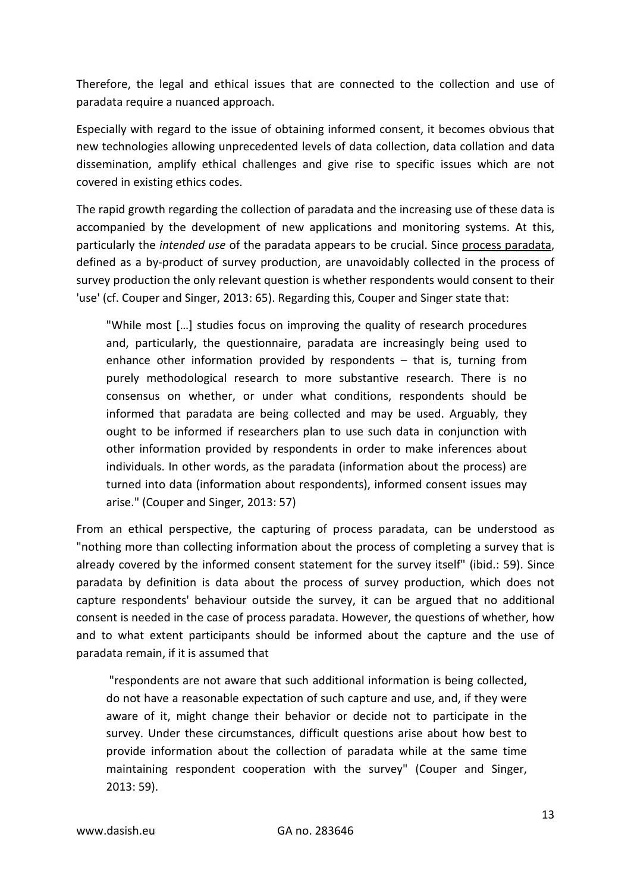Therefore, the legal and ethical issues that are connected to the collection and use of paradata require a nuanced approach.

Especially with regard to the issue of obtaining informed consent, it becomes obvious that new technologies allowing unprecedented levels of data collection, data collation and data dissemination, amplify ethical challenges and give rise to specific issues which are not covered in existing ethics codes.

The rapid growth regarding the collection of paradata and the increasing use of these data is accompanied by the development of new applications and monitoring systems. At this, particularly the *intended use* of the paradata appears to be crucial. Since process paradata, defined as a by-product of survey production, are unavoidably collected in the process of survey production the only relevant question is whether respondents would consent to their 'use' (cf. Couper and Singer, 2013: 65). Regarding this, Couper and Singer state that:

"While most […] studies focus on improving the quality of research procedures and, particularly, the questionnaire, paradata are increasingly being used to enhance other information provided by respondents – that is, turning from purely methodological research to more substantive research. There is no consensus on whether, or under what conditions, respondents should be informed that paradata are being collected and may be used. Arguably, they ought to be informed if researchers plan to use such data in conjunction with other information provided by respondents in order to make inferences about individuals. In other words, as the paradata (information about the process) are turned into data (information about respondents), informed consent issues may arise." (Couper and Singer, 2013: 57)

From an ethical perspective, the capturing of process paradata, can be understood as "nothing more than collecting information about the process of completing a survey that is already covered by the informed consent statement for the survey itself" (ibid.: 59). Since paradata by definition is data about the process of survey production, which does not capture respondents' behaviour outside the survey, it can be argued that no additional consent is needed in the case of process paradata. However, the questions of whether, how and to what extent participants should be informed about the capture and the use of paradata remain, if it is assumed that

"respondents are not aware that such additional information is being collected, do not have a reasonable expectation of such capture and use, and, if they were aware of it, might change their behavior or decide not to participate in the survey. Under these circumstances, difficult questions arise about how best to provide information about the collection of paradata while at the same time maintaining respondent cooperation with the survey" (Couper and Singer, 2013: 59).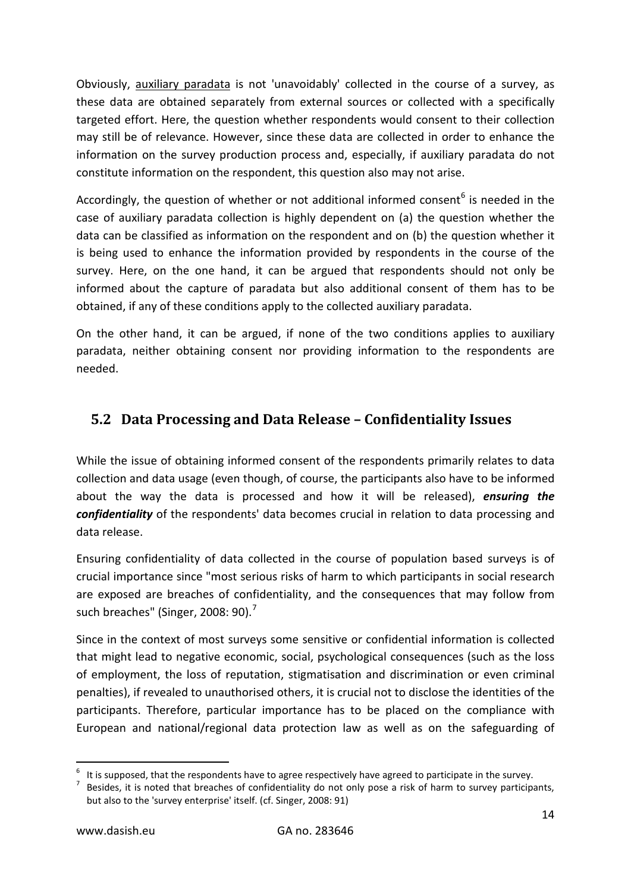Obviously, auxiliary paradata is not 'unavoidably' collected in the course of a survey, as these data are obtained separately from external sources or collected with a specifically targeted effort. Here, the question whether respondents would consent to their collection may still be of relevance. However, since these data are collected in order to enhance the information on the survey production process and, especially, if auxiliary paradata do not constitute information on the respondent, this question also may not arise.

Accordingly, the question of whether or not additional informed consent<sup>[6](#page-13-1)</sup> is needed in the case of auxiliary paradata collection is highly dependent on (a) the question whether the data can be classified as information on the respondent and on (b) the question whether it is being used to enhance the information provided by respondents in the course of the survey. Here, on the one hand, it can be argued that respondents should not only be informed about the capture of paradata but also additional consent of them has to be obtained, if any of these conditions apply to the collected auxiliary paradata.

On the other hand, it can be argued, if none of the two conditions applies to auxiliary paradata, neither obtaining consent nor providing information to the respondents are needed.

## <span id="page-13-0"></span>**5.2 Data Processing and Data Release – Confidentiality Issues**

While the issue of obtaining informed consent of the respondents primarily relates to data collection and data usage (even though, of course, the participants also have to be informed about the way the data is processed and how it will be released), *ensuring the confidentiality* of the respondents' data becomes crucial in relation to data processing and data release.

Ensuring confidentiality of data collected in the course of population based surveys is of crucial importance since "most serious risks of harm to which participants in social research are exposed are breaches of confidentiality, and the consequences that may follow from such breaches" (Singer, 2008: 90).<sup>[7](#page-13-2)</sup>

Since in the context of most surveys some sensitive or confidential information is collected that might lead to negative economic, social, psychological consequences (such as the loss of employment, the loss of reputation, stigmatisation and discrimination or even criminal penalties), if revealed to unauthorised others, it is crucial not to disclose the identities of the participants. Therefore, particular importance has to be placed on the compliance with European and national/regional data protection law as well as on the safeguarding of

<span id="page-13-1"></span><sup>&</sup>lt;sup>6</sup> It is supposed, that the respondents have to agree respectively have agreed to participate in the survey.<br><sup>7</sup> Besides, it is noted that breaches of confidentiality do not only pose a risk of harm to survey participant

<span id="page-13-2"></span>but also to the 'survey enterprise' itself. (cf. Singer, 2008: 91)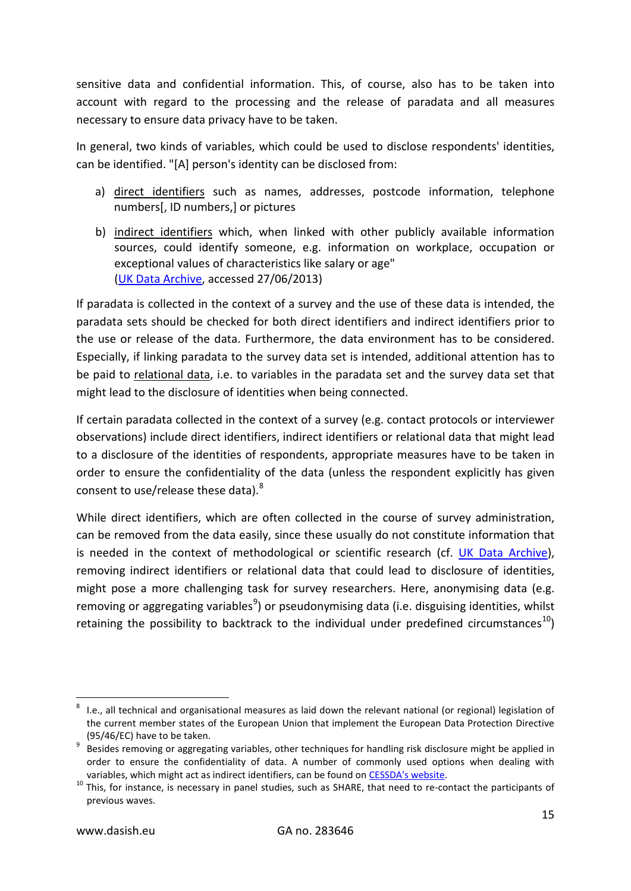sensitive data and confidential information. This, of course, also has to be taken into account with regard to the processing and the release of paradata and all measures necessary to ensure data privacy have to be taken.

In general, two kinds of variables, which could be used to disclose respondents' identities, can be identified. "[A] person's identity can be disclosed from:

- a) direct identifiers such as names, addresses, postcode information, telephone numbers[, ID numbers,] or pictures
- b) indirect identifiers which, when linked with other publicly available information sources, could identify someone, e.g. information on workplace, occupation or exceptional values of characteristics like salary or age" [\(UK Data Archive,](http://www.data-archive.ac.uk/create-manage/consent-ethics/anonymisation) accessed 27/06/2013)

If paradata is collected in the context of a survey and the use of these data is intended, the paradata sets should be checked for both direct identifiers and indirect identifiers prior to the use or release of the data. Furthermore, the data environment has to be considered. Especially, if linking paradata to the survey data set is intended, additional attention has to be paid to relational data, i.e. to variables in the paradata set and the survey data set that might lead to the disclosure of identities when being connected.

If certain paradata collected in the context of a survey (e.g. contact protocols or interviewer observations) include direct identifiers, indirect identifiers or relational data that might lead to a disclosure of the identities of respondents, appropriate measures have to be taken in order to ensure the confidentiality of the data (unless the respondent explicitly has given consent to use/release these data).<sup>[8](#page-14-0)</sup>

While direct identifiers, which are often collected in the course of survey administration, can be removed from the data easily, since these usually do not constitute information that is needed in the context of methodological or scientific research (cf. [UK Data Archive\)](http://www.data-archive.ac.uk/create-manage/consent-ethics/anonymisation), removing indirect identifiers or relational data that could lead to disclosure of identities, might pose a more challenging task for survey researchers. Here, anonymising data (e.g. removing or aggregating variables<sup>[9](#page-14-1)</sup>) or pseudonymising data (i.e. disguising identities, whilst retaining the possibility to backtrack to the individual under predefined circumstances<sup>10</sup>)

<span id="page-14-0"></span> <sup>8</sup> I.e., all technical and organisational measures as laid down the relevant national (or regional) legislation of the current member states of the European Union that implement the European Data Protection Directive

<span id="page-14-1"></span><sup>(95/46/</sup>EC) have to be taken.<br><sup>9</sup> Besides removing or aggregating variables, other techniques for handling risk disclosure might be applied in order to ensure the confidentiality of data. A number of commonly used options when dealing with

<span id="page-14-2"></span>variables, which might act as indirect identifiers, can be found on  $CESDA's$  website</u>.<br><sup>10</sup> This, for instance, is necessary in panel studies, such as SHARE, that need to re-contact the participants of previous waves.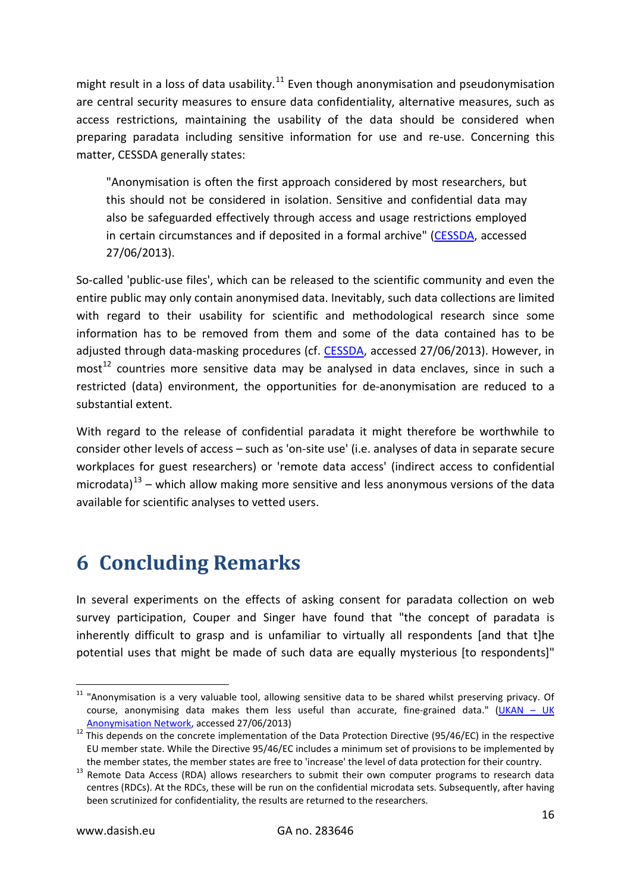might result in a loss of data usability.<sup>[11](#page-15-1)</sup> Even though anonymisation and pseudonymisation are central security measures to ensure data confidentiality, alternative measures, such as access restrictions, maintaining the usability of the data should be considered when preparing paradata including sensitive information for use and re-use. Concerning this matter, CESSDA generally states:

"Anonymisation is often the first approach considered by most researchers, but this should not be considered in isolation. Sensitive and confidential data may also be safeguarded effectively through access and usage restrictions employed in certain circumstances and if deposited in a formal archive" [\(CESSDA,](http://www.cessda.org/sharing/rights/3/) accessed 27/06/2013).

So-called 'public-use files', which can be released to the scientific community and even the entire public may only contain anonymised data. Inevitably, such data collections are limited with regard to their usability for scientific and methodological research since some information has to be removed from them and some of the data contained has to be adjusted through data-masking procedures (cf. [CESSDA,](http://www.cessda.org/sharing/rights/3/) accessed 27/06/2013). However, in  $most<sup>12</sup>$  $most<sup>12</sup>$  $most<sup>12</sup>$  countries more sensitive data may be analysed in data enclaves, since in such a restricted (data) environment, the opportunities for de-anonymisation are reduced to a substantial extent.

With regard to the release of confidential paradata it might therefore be worthwhile to consider other levels of access – such as 'on-site use' (i.e. analyses of data in separate secure workplaces for guest researchers) or 'remote data access' (indirect access to confidential microdata) $^{13}$  $^{13}$  $^{13}$  – which allow making more sensitive and less anonymous versions of the data available for scientific analyses to vetted users.

# <span id="page-15-0"></span>**6 Concluding Remarks**

In several experiments on the effects of asking consent for paradata collection on web survey participation, Couper and Singer have found that "the concept of paradata is inherently difficult to grasp and is unfamiliar to virtually all respondents [and that t]he potential uses that might be made of such data are equally mysterious [to respondents]"

<span id="page-15-1"></span><sup>&</sup>lt;sup>11</sup> "Anonymisation is a very valuable tool, allowing sensitive data to be shared whilst preserving privacy. Of course, anonymising data makes them less useful than accurate, fine-grained data." [\(UKAN –](http://www.ukanon.net/key-information/) UK

<span id="page-15-2"></span>[Anonymisation Network,](http://www.ukanon.net/key-information/) accessed 27/06/2013) <sup>12</sup> This depends on the concrete implementation of the Data Protection Directive (95/46/EC) in the respective EU member state. While the Directive 95/46/EC includes a minimum set of provisions to be implemented by

<span id="page-15-3"></span>the member states, the member states are free to 'increase' the level of data protection for their country.<br><sup>13</sup> Remote Data Access (RDA) allows researchers to submit their own computer programs to research data centres (RDCs). At the RDCs, these will be run on the confidential microdata sets. Subsequently, after having been scrutinized for confidentiality, the results are returned to the researchers.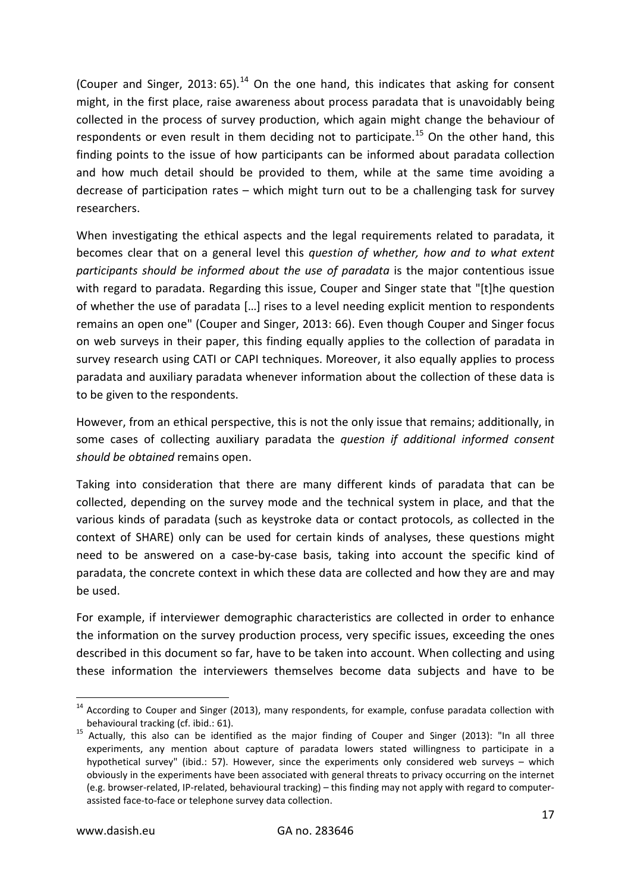(Couper and Singer, 2013: 65).<sup>[14](#page-16-0)</sup> On the one hand, this indicates that asking for consent might, in the first place, raise awareness about process paradata that is unavoidably being collected in the process of survey production, which again might change the behaviour of respondents or even result in them deciding not to participate.<sup>[15](#page-16-1)</sup> On the other hand, this finding points to the issue of how participants can be informed about paradata collection and how much detail should be provided to them, while at the same time avoiding a decrease of participation rates – which might turn out to be a challenging task for survey researchers.

When investigating the ethical aspects and the legal requirements related to paradata, it becomes clear that on a general level this *question of whether, how and to what extent participants should be informed about the use of paradata* is the major contentious issue with regard to paradata. Regarding this issue, Couper and Singer state that "[t]he question of whether the use of paradata […] rises to a level needing explicit mention to respondents remains an open one" (Couper and Singer, 2013: 66). Even though Couper and Singer focus on web surveys in their paper, this finding equally applies to the collection of paradata in survey research using CATI or CAPI techniques. Moreover, it also equally applies to process paradata and auxiliary paradata whenever information about the collection of these data is to be given to the respondents.

However, from an ethical perspective, this is not the only issue that remains; additionally, in some cases of collecting auxiliary paradata the *question if additional informed consent should be obtained* remains open.

Taking into consideration that there are many different kinds of paradata that can be collected, depending on the survey mode and the technical system in place, and that the various kinds of paradata (such as keystroke data or contact protocols, as collected in the context of SHARE) only can be used for certain kinds of analyses, these questions might need to be answered on a case-by-case basis, taking into account the specific kind of paradata, the concrete context in which these data are collected and how they are and may be used.

For example, if interviewer demographic characteristics are collected in order to enhance the information on the survey production process, very specific issues, exceeding the ones described in this document so far, have to be taken into account. When collecting and using these information the interviewers themselves become data subjects and have to be

<span id="page-16-0"></span><sup>&</sup>lt;sup>14</sup> According to Couper and Singer (2013), many respondents, for example, confuse paradata collection with behavioural tracking (cf. ibid.: 61).<br><sup>15</sup> Actually, this also can be identified as the major finding of Couper and Singer (2013): "In all three

<span id="page-16-1"></span>experiments, any mention about capture of paradata lowers stated willingness to participate in a hypothetical survey" (ibid.: 57). However, since the experiments only considered web surveys – which obviously in the experiments have been associated with general threats to privacy occurring on the internet (e.g. browser-related, IP-related, behavioural tracking) – this finding may not apply with regard to computerassisted face-to-face or telephone survey data collection.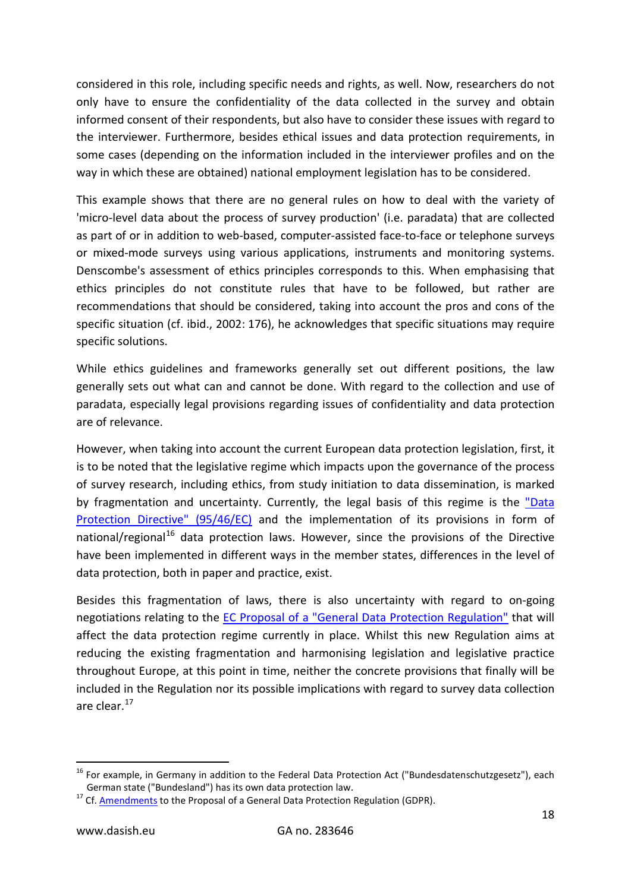considered in this role, including specific needs and rights, as well. Now, researchers do not only have to ensure the confidentiality of the data collected in the survey and obtain informed consent of their respondents, but also have to consider these issues with regard to the interviewer. Furthermore, besides ethical issues and data protection requirements, in some cases (depending on the information included in the interviewer profiles and on the way in which these are obtained) national employment legislation has to be considered.

This example shows that there are no general rules on how to deal with the variety of 'micro-level data about the process of survey production' (i.e. paradata) that are collected as part of or in addition to web-based, computer-assisted face-to-face or telephone surveys or mixed-mode surveys using various applications, instruments and monitoring systems. Denscombe's assessment of ethics principles corresponds to this. When emphasising that ethics principles do not constitute rules that have to be followed, but rather are recommendations that should be considered, taking into account the pros and cons of the specific situation (cf. ibid., 2002: 176), he acknowledges that specific situations may require specific solutions.

While ethics guidelines and frameworks generally set out different positions, the law generally sets out what can and cannot be done. With regard to the collection and use of paradata, especially legal provisions regarding issues of confidentiality and data protection are of relevance.

However, when taking into account the current European data protection legislation, first, it is to be noted that the legislative regime which impacts upon the governance of the process of survey research, including ethics, from study initiation to data dissemination, is marked by fragmentation and uncertainty. Currently, the legal basis of this regime is the ["Data](http://eur-lex.europa.eu/LexUriServ/LexUriServ.do?uri=CELEX:31995L0046:en:HTML)  [Protection Directive" \(95/46/EC\)](http://eur-lex.europa.eu/LexUriServ/LexUriServ.do?uri=CELEX:31995L0046:en:HTML) and the implementation of its provisions in form of national/regional<sup>[16](#page-17-0)</sup> data protection laws. However, since the provisions of the Directive have been implemented in different ways in the member states, differences in the level of data protection, both in paper and practice, exist.

Besides this fragmentation of laws, there is also uncertainty with regard to on-going negotiations relating to the [EC Proposal of a "General Data Protection Regulation"](http://eur-lex.europa.eu/LexUriServ/LexUriServ.do?uri=COM:2012:0011:FIN:EN:PDF) that will affect the data protection regime currently in place. Whilst this new Regulation aims at reducing the existing fragmentation and harmonising legislation and legislative practice throughout Europe, at this point in time, neither the concrete provisions that finally will be included in the Regulation nor its possible implications with regard to survey data collection are clear.[17](#page-17-1)

<span id="page-17-0"></span><sup>&</sup>lt;sup>16</sup> For example, in Germany in addition to the Federal Data Protection Act ("Bundesdatenschutzgesetz"), each German state ("Bundesland") has its own data protection law.<br><sup>17</sup> Cf. [Amendments](http://www.europarl.europa.eu/oeil/popups/ficheprocedure.do?reference=2012/0011(COD)#tab-0) to the Proposal of a General Data Protection Regulation (GDPR).

<span id="page-17-1"></span>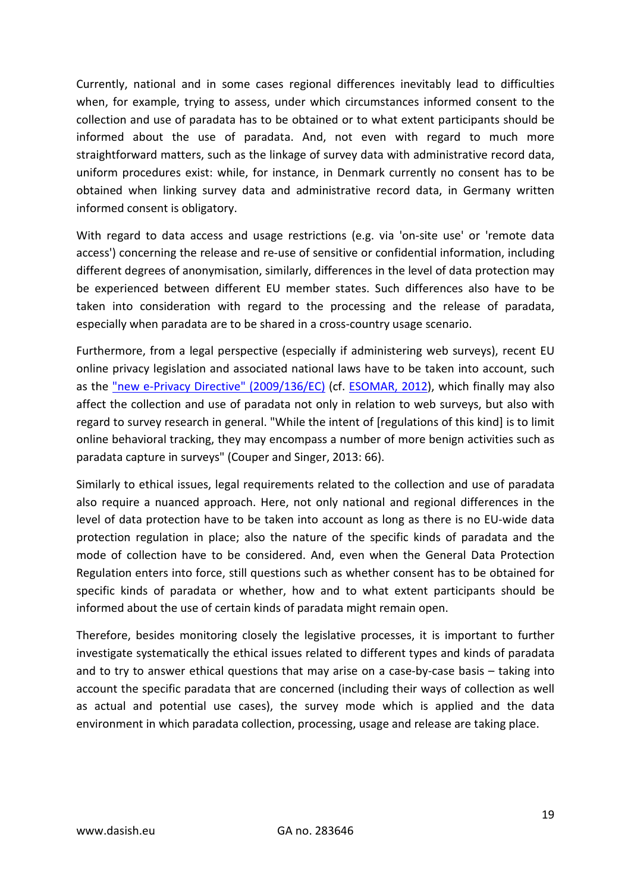Currently, national and in some cases regional differences inevitably lead to difficulties when, for example, trying to assess, under which circumstances informed consent to the collection and use of paradata has to be obtained or to what extent participants should be informed about the use of paradata. And, not even with regard to much more straightforward matters, such as the linkage of survey data with administrative record data, uniform procedures exist: while, for instance, in Denmark currently no consent has to be obtained when linking survey data and administrative record data, in Germany written informed consent is obligatory.

With regard to data access and usage restrictions (e.g. via 'on-site use' or 'remote data access') concerning the release and re-use of sensitive or confidential information, including different degrees of anonymisation, similarly, differences in the level of data protection may be experienced between different EU member states. Such differences also have to be taken into consideration with regard to the processing and the release of paradata, especially when paradata are to be shared in a cross-country usage scenario.

Furthermore, from a legal perspective (especially if administering web surveys), recent EU online privacy legislation and associated national laws have to be taken into account, such as the ["new e-Privacy Directive" \(2009/136/EC\)](http://eur-lex.europa.eu/LexUriServ/LexUriServ.do?uri=OJ:L:2009:337:0011:0036:EN:PDF) (cf. [ESOMAR, 2012\)](http://www.esomar.org/uploads/public/knowledge-and-standards/codes-and-guidelines/ESOMAR-Practical-Guide-on-Cookies_July-2012.pdf), which finally may also affect the collection and use of paradata not only in relation to web surveys, but also with regard to survey research in general. "While the intent of [regulations of this kind] is to limit online behavioral tracking, they may encompass a number of more benign activities such as paradata capture in surveys" (Couper and Singer, 2013: 66).

Similarly to ethical issues, legal requirements related to the collection and use of paradata also require a nuanced approach. Here, not only national and regional differences in the level of data protection have to be taken into account as long as there is no EU-wide data protection regulation in place; also the nature of the specific kinds of paradata and the mode of collection have to be considered. And, even when the General Data Protection Regulation enters into force, still questions such as whether consent has to be obtained for specific kinds of paradata or whether, how and to what extent participants should be informed about the use of certain kinds of paradata might remain open.

Therefore, besides monitoring closely the legislative processes, it is important to further investigate systematically the ethical issues related to different types and kinds of paradata and to try to answer ethical questions that may arise on a case-by-case basis – taking into account the specific paradata that are concerned (including their ways of collection as well as actual and potential use cases), the survey mode which is applied and the data environment in which paradata collection, processing, usage and release are taking place.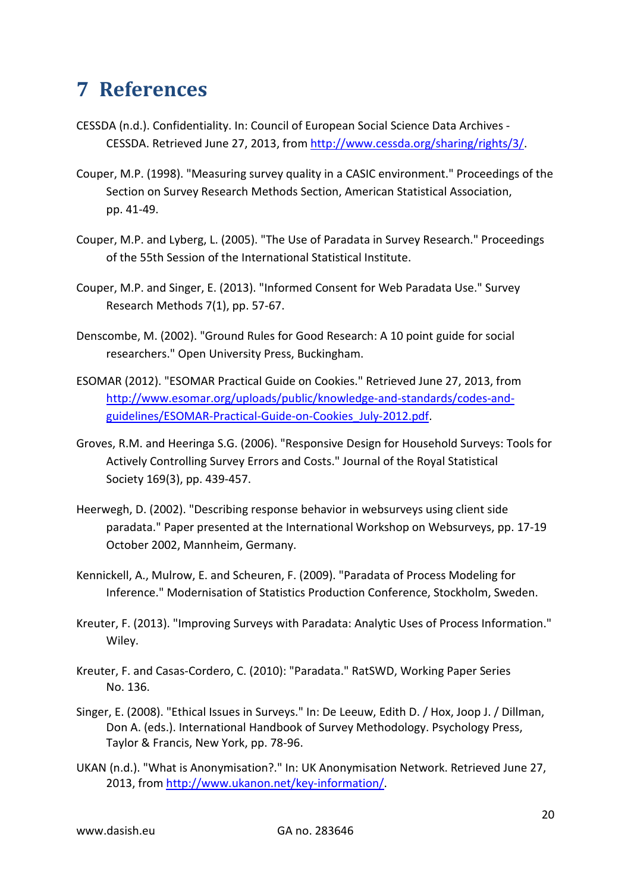# <span id="page-19-0"></span>**7 References**

- <span id="page-19-3"></span>CESSDA (n.d.). Confidentiality. In: Council of European Social Science Data Archives - CESSDA. Retrieved June 27, 2013, from [http://www.cessda.org/sharing/rights/3/.](http://www.cessda.org/sharing/rights/3/)
- Couper, M.P. (1998). "Measuring survey quality in a CASIC environment." Proceedings of the Section on Survey Research Methods Section, American Statistical Association, pp. 41-49.
- Couper, M.P. and Lyberg, L. (2005). "The Use of Paradata in Survey Research." Proceedings of the 55th Session of the International Statistical Institute.
- Couper, M.P. and Singer, E. (2013). "Informed Consent for Web Paradata Use." Survey Research Methods 7(1), pp. 57-67.
- Denscombe, M. (2002). "Ground Rules for Good Research: A 10 point guide for social researchers." Open University Press, Buckingham.
- ESOMAR (2012). "ESOMAR Practical Guide on Cookies." Retrieved June 27, 2013, from [http://www.esomar.org/uploads/public/knowledge-and-standards/codes-and](http://www.esomar.org/uploads/public/knowledge-and-standards/codes-and-guidelines/ESOMAR-Practical-Guide-on-Cookies_July-2012.pdf)[guidelines/ESOMAR-Practical-Guide-on-Cookies\\_July-2012.pdf.](http://www.esomar.org/uploads/public/knowledge-and-standards/codes-and-guidelines/ESOMAR-Practical-Guide-on-Cookies_July-2012.pdf)
- <span id="page-19-1"></span>Groves, R.M. and Heeringa S.G. (2006). "Responsive Design for Household Surveys: Tools for Actively Controlling Survey Errors and Costs." Journal of the Royal Statistical Society 169(3), pp. 439-457.
- Heerwegh, D. (2002). "Describing response behavior in websurveys using client side paradata." Paper presented at the International Workshop on Websurveys, pp. 17-19 October 2002, Mannheim, Germany.
- Kennickell, A., Mulrow, E. and Scheuren, F. (2009). "Paradata of Process Modeling for Inference." Modernisation of Statistics Production Conference, Stockholm, Sweden.
- <span id="page-19-2"></span>Kreuter, F. (2013). "Improving Surveys with Paradata: Analytic Uses of Process Information." Wiley.
- <span id="page-19-4"></span>Kreuter, F. and Casas-Cordero, C. (2010): "Paradata." RatSWD, Working Paper Series No. 136.
- Singer, E. (2008). "Ethical Issues in Surveys." In: De Leeuw, Edith D. / Hox, Joop J. / Dillman, Don A. (eds.). International Handbook of Survey Methodology. Psychology Press, Taylor & Francis, New York, pp. 78-96.
- UKAN (n.d.). "What is Anonymisation?." In: UK Anonymisation Network. Retrieved June 27, 2013, from [http://www.ukanon.net/key-information/.](http://www.ukanon.net/key-information/)